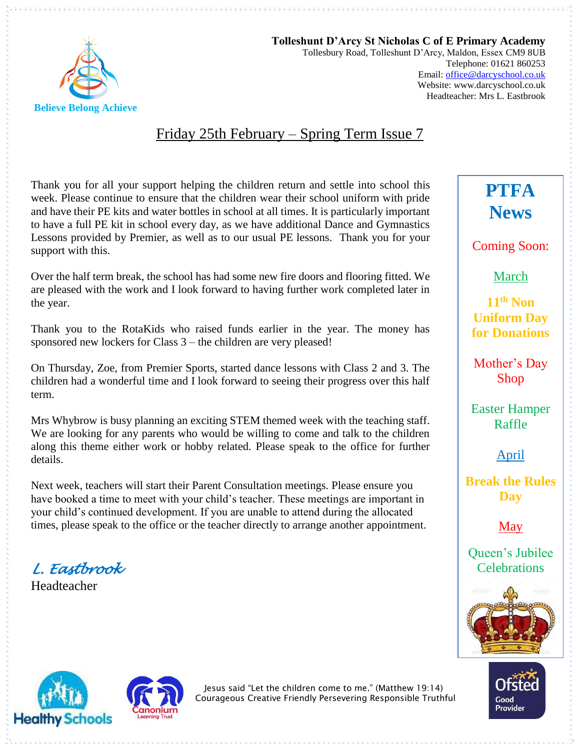

**Tolleshunt D'Arcy St Nicholas C of E Primary Academy** Tollesbury Road, Tolleshunt D'Arcy, Maldon, Essex CM9 8UB Telephone: 01621 860253 Email[: office@darcyschool.co.uk](mailto:office@darcyschool.co.uk) Website: www.darcyschool.co.uk Headteacher: Mrs L. Eastbrook

### Friday 25th February – Spring Term Issue 7

Thank you for all your support helping the children return and settle into school this week. Please continue to ensure that the children wear their school uniform with pride and have their PE kits and water bottles in school at all times. It is particularly important to have a full PE kit in school every day, as we have additional Dance and Gymnastics Lessons provided by Premier, as well as to our usual PE lessons. Thank you for your support with this.

Over the half term break, the school has had some new fire doors and flooring fitted. We are pleased with the work and I look forward to having further work completed later in the year.

Thank you to the RotaKids who raised funds earlier in the year. The money has sponsored new lockers for Class 3 – the children are very pleased!

On Thursday, Zoe, from Premier Sports, started dance lessons with Class 2 and 3. The children had a wonderful time and I look forward to seeing their progress over this half term.

Mrs Whybrow is busy planning an exciting STEM themed week with the teaching staff. We are looking for any parents who would be willing to come and talk to the children along this theme either work or hobby related. Please speak to the office for further details.

Next week, teachers will start their Parent Consultation meetings. Please ensure you have booked a time to meet with your child's teacher. These meetings are important in your child's continued development. If you are unable to attend during the allocated times, please speak to the office or the teacher directly to arrange another appointment.

*L. Eastbrook* 

Headteacher





Jesus said "Let the children come to me." (Matthew 19:14) Courageous Creative Friendly Persevering Responsible Truthful

# **PTFA News**

Coming Soon:

March

**11th Non Uniform Day for Donations**

Mother's Day Shop

Easter Hamper Raffle

April

**Break the Rules Day** 

May

Queen's Jubilee **Celebrations**